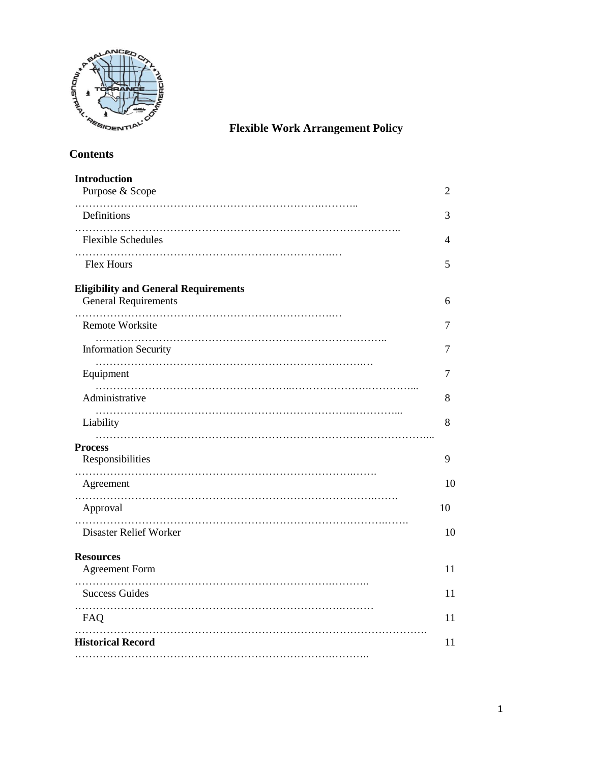

**Flexible Work Arrangement Policy**

| <b>Introduction</b><br>Purpose & Scope                                     | 2  |
|----------------------------------------------------------------------------|----|
| .<br>Definitions                                                           | 3  |
| <b>Flexible Schedules</b>                                                  | 4  |
| <b>Flex Hours</b>                                                          | 5  |
| <b>Eligibility and General Requirements</b><br><b>General Requirements</b> | 6  |
| <b>Remote Worksite</b>                                                     | 7  |
| .<br><b>Information Security</b>                                           | 7  |
| Equipment                                                                  | 7  |
| Administrative                                                             | 8  |
| Liability                                                                  | 8  |
| <b>Process</b><br>Responsibilities                                         | 9  |
| Agreement                                                                  | 10 |
| Approval                                                                   | 10 |
| .<br>Disaster Relief Worker                                                | 10 |
| <b>Resources</b><br><b>Agreement Form</b>                                  | 11 |
| <b>Success Guides</b>                                                      | 11 |
| FAQ                                                                        | 11 |
| <b>Historical Record</b>                                                   | 11 |
|                                                                            |    |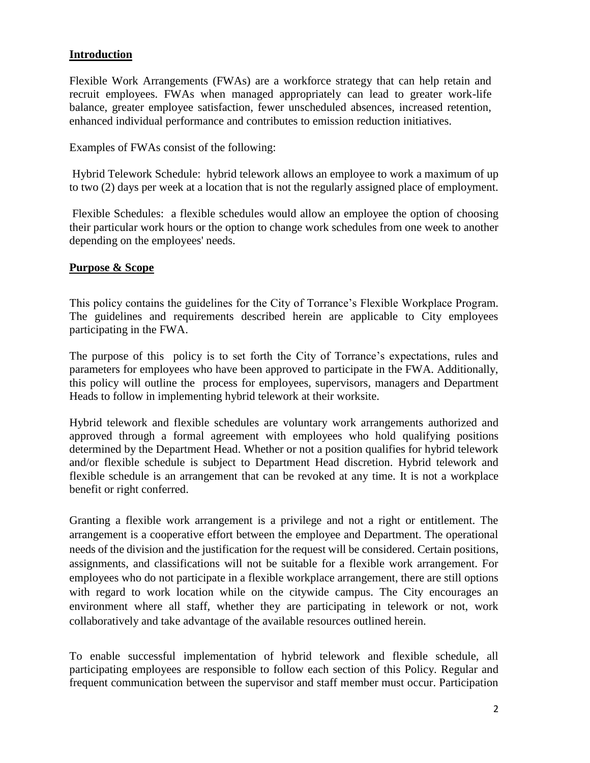#### **Introduction**

Flexible Work Arrangements (FWAs) are a workforce strategy that can help retain and recruit employees. FWAs when managed appropriately can lead to greater work-life balance, greater employee satisfaction, fewer unscheduled absences, increased retention, enhanced individual performance and contributes to emission reduction initiatives.

Examples of FWAs consist of the following:

Hybrid Telework Schedule: hybrid telework allows an employee to work a maximum of up to two (2) days per week at a location that is not the regularly assigned place of employment.

Flexible Schedules: a flexible schedules would allow an employee the option of choosing their particular work hours or the option to change work schedules from one week to another depending on the employees' needs.

#### **Purpose & Scope**

This policy contains the guidelines for the City of Torrance's Flexible Workplace Program. The guidelines and requirements described herein are applicable to City employees participating in the FWA.

The purpose of this policy is to set forth the City of Torrance's expectations, rules and parameters for employees who have been approved to participate in the FWA. Additionally, this policy will outline the process for employees, supervisors, managers and Department Heads to follow in implementing hybrid telework at their worksite.

Hybrid telework and flexible schedules are voluntary work arrangements authorized and approved through a formal agreement with employees who hold qualifying positions determined by the Department Head. Whether or not a position qualifies for hybrid telework and/or flexible schedule is subject to Department Head discretion. Hybrid telework and flexible schedule is an arrangement that can be revoked at any time. It is not a workplace benefit or right conferred.

Granting a flexible work arrangement is a privilege and not a right or entitlement. The arrangement is a cooperative effort between the employee and Department. The operational needs of the division and the justification for the request will be considered. Certain positions, assignments, and classifications will not be suitable for a flexible work arrangement. For employees who do not participate in a flexible workplace arrangement, there are still options with regard to work location while on the citywide campus. The City encourages an environment where all staff, whether they are participating in telework or not, work collaboratively and take advantage of the available resources outlined herein.

To enable successful implementation of hybrid telework and flexible schedule, all participating employees are responsible to follow each section of this Policy. Regular and frequent communication between the supervisor and staff member must occur. Participation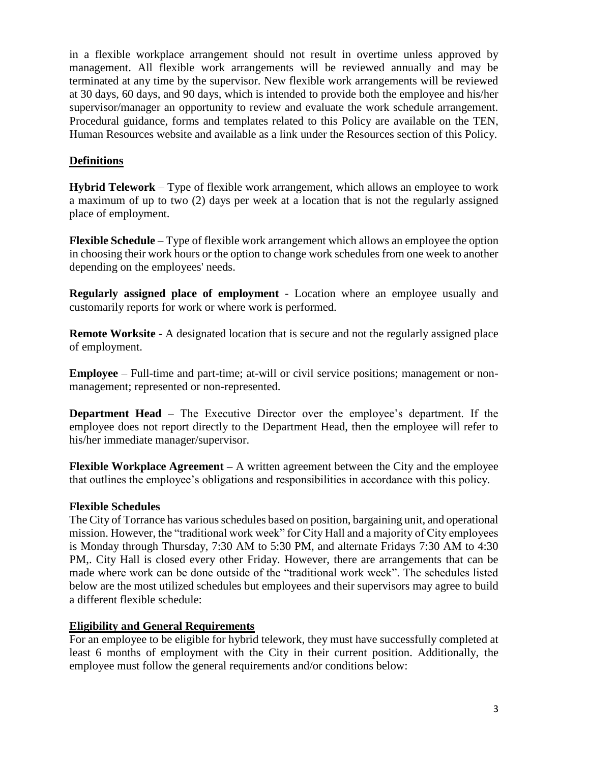in a flexible workplace arrangement should not result in overtime unless approved by management. All flexible work arrangements will be reviewed annually and may be terminated at any time by the supervisor. New flexible work arrangements will be reviewed at 30 days, 60 days, and 90 days, which is intended to provide both the employee and his/her supervisor/manager an opportunity to review and evaluate the work schedule arrangement. Procedural guidance, forms and templates related to this Policy are available on the TEN, Human Resources website and available as a link under the Resources section of this Policy.

## **Definitions**

**Hybrid Telework** – Type of flexible work arrangement, which allows an employee to work a maximum of up to two (2) days per week at a location that is not the regularly assigned place of employment.

**Flexible Schedule** – Type of flexible work arrangement which allows an employee the option in choosing their work hours or the option to change work schedules from one week to another depending on the employees' needs.

**Regularly assigned place of employment** - Location where an employee usually and customarily reports for work or where work is performed.

**Remote Worksite** - A designated location that is secure and not the regularly assigned place of employment.

**Employee** – Full-time and part-time; at-will or civil service positions; management or nonmanagement; represented or non-represented.

**Department Head** – The Executive Director over the employee's department. If the employee does not report directly to the Department Head, then the employee will refer to his/her immediate manager/supervisor.

**Flexible Workplace Agreement –** A written agreement between the City and the employee that outlines the employee's obligations and responsibilities in accordance with this policy.

## **Flexible Schedules**

The City of Torrance has various schedules based on position, bargaining unit, and operational mission. However, the "traditional work week" for City Hall and a majority of City employees is Monday through Thursday, 7:30 AM to 5:30 PM, and alternate Fridays 7:30 AM to 4:30 PM,. City Hall is closed every other Friday. However, there are arrangements that can be made where work can be done outside of the "traditional work week". The schedules listed below are the most utilized schedules but employees and their supervisors may agree to build a different flexible schedule:

## **Eligibility and General Requirements**

For an employee to be eligible for hybrid telework, they must have successfully completed at least 6 months of employment with the City in their current position. Additionally, the employee must follow the general requirements and/or conditions below: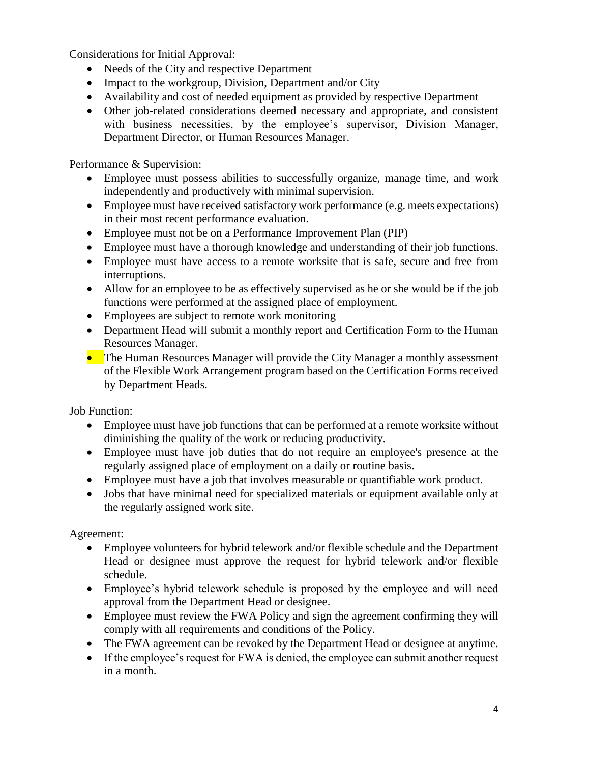Considerations for Initial Approval:

- Needs of the City and respective Department
- Impact to the workgroup, Division, Department and/or City
- Availability and cost of needed equipment as provided by respective Department
- Other job-related considerations deemed necessary and appropriate, and consistent with business necessities, by the employee's supervisor, Division Manager, Department Director, or Human Resources Manager.

Performance & Supervision:

- Employee must possess abilities to successfully organize, manage time, and work independently and productively with minimal supervision.
- Employee must have received satisfactory work performance (e.g. meets expectations) in their most recent performance evaluation.
- Employee must not be on a Performance Improvement Plan (PIP)
- Employee must have a thorough knowledge and understanding of their job functions.
- Employee must have access to a remote worksite that is safe, secure and free from interruptions.
- Allow for an employee to be as effectively supervised as he or she would be if the job functions were performed at the assigned place of employment.
- Employees are subject to remote work monitoring
- Department Head will submit a monthly report and Certification Form to the Human Resources Manager.
- The Human Resources Manager will provide the City Manager a monthly assessment of the Flexible Work Arrangement program based on the Certification Forms received by Department Heads.

Job Function:

- Employee must have job functions that can be performed at a remote worksite without diminishing the quality of the work or reducing productivity.
- Employee must have job duties that do not require an employee's presence at the regularly assigned place of employment on a daily or routine basis.
- Employee must have a job that involves measurable or quantifiable work product.
- Jobs that have minimal need for specialized materials or equipment available only at the regularly assigned work site.

Agreement:

- Employee volunteers for hybrid telework and/or flexible schedule and the Department Head or designee must approve the request for hybrid telework and/or flexible schedule.
- Employee's hybrid telework schedule is proposed by the employee and will need approval from the Department Head or designee.
- Employee must review the FWA Policy and sign the agreement confirming they will comply with all requirements and conditions of the Policy.
- The FWA agreement can be revoked by the Department Head or designee at anytime.
- If the employee's request for FWA is denied, the employee can submit another request in a month.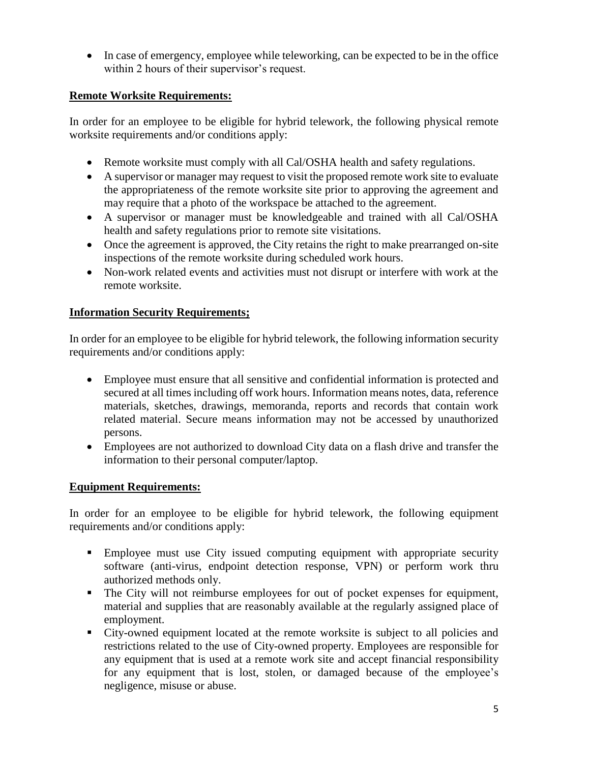In case of emergency, employee while teleworking, can be expected to be in the office within 2 hours of their supervisor's request.

# **Remote Worksite Requirements:**

In order for an employee to be eligible for hybrid telework, the following physical remote worksite requirements and/or conditions apply:

- Remote worksite must comply with all Cal/OSHA health and safety regulations.
- A supervisor or manager may request to visit the proposed remote work site to evaluate the appropriateness of the remote worksite site prior to approving the agreement and may require that a photo of the workspace be attached to the agreement.
- A supervisor or manager must be knowledgeable and trained with all Cal/OSHA health and safety regulations prior to remote site visitations.
- Once the agreement is approved, the City retains the right to make prearranged on-site inspections of the remote worksite during scheduled work hours.
- Non-work related events and activities must not disrupt or interfere with work at the remote worksite.

# **Information Security Requirements;**

In order for an employee to be eligible for hybrid telework, the following information security requirements and/or conditions apply:

- Employee must ensure that all sensitive and confidential information is protected and secured at all times including off work hours. Information means notes, data, reference materials, sketches, drawings, memoranda, reports and records that contain work related material. Secure means information may not be accessed by unauthorized persons.
- Employees are not authorized to download City data on a flash drive and transfer the information to their personal computer/laptop.

## **Equipment Requirements:**

In order for an employee to be eligible for hybrid telework, the following equipment requirements and/or conditions apply:

- Employee must use City issued computing equipment with appropriate security software (anti-virus, endpoint detection response, VPN) or perform work thru authorized methods only.
- The City will not reimburse employees for out of pocket expenses for equipment, material and supplies that are reasonably available at the regularly assigned place of employment.
- City-owned equipment located at the remote worksite is subject to all policies and restrictions related to the use of City-owned property. Employees are responsible for any equipment that is used at a remote work site and accept financial responsibility for any equipment that is lost, stolen, or damaged because of the employee's negligence, misuse or abuse.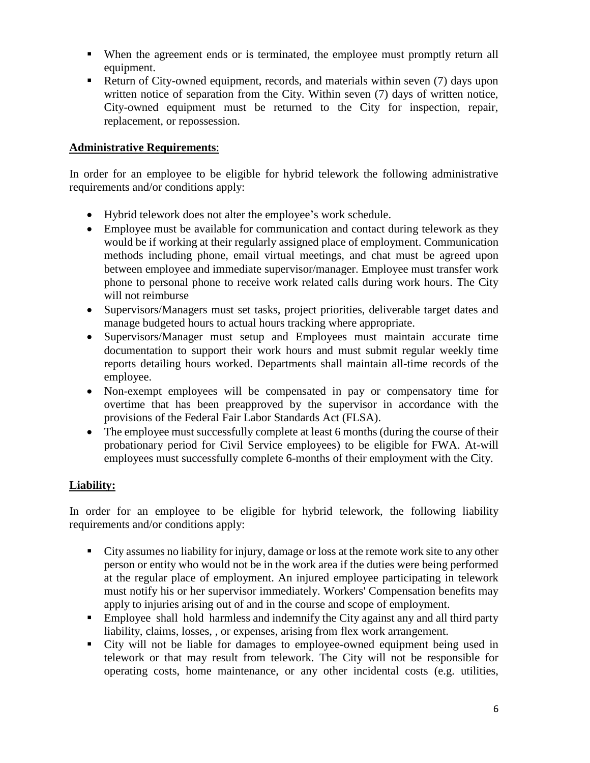- When the agreement ends or is terminated, the employee must promptly return all equipment.
- Return of City-owned equipment, records, and materials within seven (7) days upon written notice of separation from the City. Within seven (7) days of written notice, City-owned equipment must be returned to the City for inspection, repair, replacement, or repossession.

#### **Administrative Requirements**:

In order for an employee to be eligible for hybrid telework the following administrative requirements and/or conditions apply:

- Hybrid telework does not alter the employee's work schedule.
- Employee must be available for communication and contact during telework as they would be if working at their regularly assigned place of employment. Communication methods including phone, email virtual meetings, and chat must be agreed upon between employee and immediate supervisor/manager. Employee must transfer work phone to personal phone to receive work related calls during work hours. The City will not reimburse
- Supervisors/Managers must set tasks, project priorities, deliverable target dates and manage budgeted hours to actual hours tracking where appropriate.
- Supervisors/Manager must setup and Employees must maintain accurate time documentation to support their work hours and must submit regular weekly time reports detailing hours worked. Departments shall maintain all-time records of the employee.
- Non-exempt employees will be compensated in pay or compensatory time for overtime that has been preapproved by the supervisor in accordance with the provisions of the Federal Fair Labor Standards Act (FLSA).
- The employee must successfully complete at least 6 months (during the course of their probationary period for Civil Service employees) to be eligible for FWA. At-will employees must successfully complete 6-months of their employment with the City.

## **Liability:**

In order for an employee to be eligible for hybrid telework, the following liability requirements and/or conditions apply:

- City assumes no liability for injury, damage or loss at the remote work site to any other person or entity who would not be in the work area if the duties were being performed at the regular place of employment. An injured employee participating in telework must notify his or her supervisor immediately. Workers' Compensation benefits may apply to injuries arising out of and in the course and scope of employment.
- Employee shall hold harmless and indemnify the City against any and all third party liability, claims, losses, , or expenses, arising from flex work arrangement.
- City will not be liable for damages to employee-owned equipment being used in telework or that may result from telework. The City will not be responsible for operating costs, home maintenance, or any other incidental costs (e.g. utilities,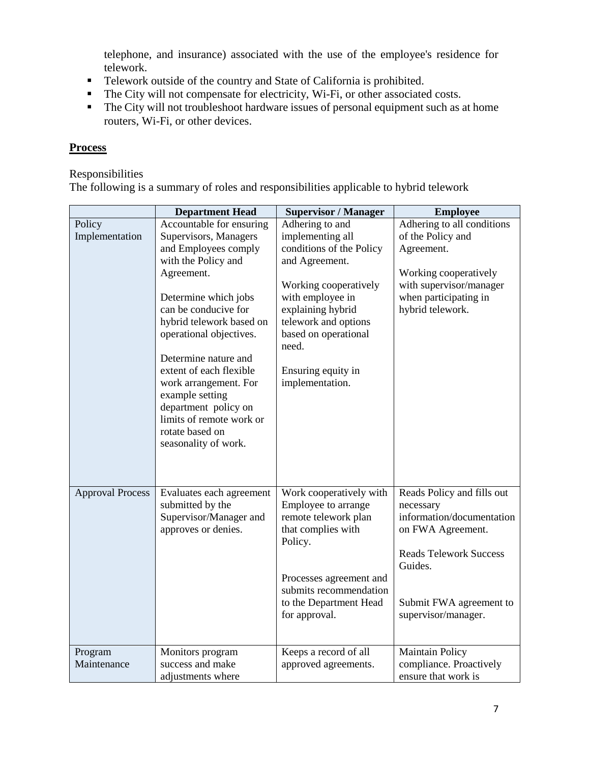telephone, and insurance) associated with the use of the employee's residence for telework.

- Telework outside of the country and State of California is prohibited.
- The City will not compensate for electricity, Wi-Fi, or other associated costs.
- $\blacksquare$  The City will not troubleshoot hardware issues of personal equipment such as at home routers, Wi-Fi, or other devices.

## **Process**

#### Responsibilities

The following is a summary of roles and responsibilities applicable to hybrid telework

|                         | <b>Department Head</b>                       | <b>Supervisor / Manager</b>               | <b>Employee</b>                           |
|-------------------------|----------------------------------------------|-------------------------------------------|-------------------------------------------|
| Policy                  | Accountable for ensuring                     | Adhering to and                           | Adhering to all conditions                |
| Implementation          | Supervisors, Managers                        | implementing all                          | of the Policy and                         |
|                         | and Employees comply                         | conditions of the Policy                  | Agreement.                                |
|                         | with the Policy and                          | and Agreement.                            |                                           |
|                         | Agreement.                                   |                                           | Working cooperatively                     |
|                         |                                              | Working cooperatively<br>with employee in | with supervisor/manager                   |
|                         | Determine which jobs<br>can be conducive for | explaining hybrid                         | when participating in<br>hybrid telework. |
|                         | hybrid telework based on                     | telework and options                      |                                           |
|                         | operational objectives.                      | based on operational                      |                                           |
|                         |                                              | need.                                     |                                           |
|                         | Determine nature and                         |                                           |                                           |
|                         | extent of each flexible                      | Ensuring equity in                        |                                           |
|                         | work arrangement. For                        | implementation.                           |                                           |
|                         | example setting                              |                                           |                                           |
|                         | department policy on                         |                                           |                                           |
|                         | limits of remote work or                     |                                           |                                           |
|                         | rotate based on                              |                                           |                                           |
|                         | seasonality of work.                         |                                           |                                           |
|                         |                                              |                                           |                                           |
|                         |                                              |                                           |                                           |
| <b>Approval Process</b> | Evaluates each agreement                     | Work cooperatively with                   | Reads Policy and fills out                |
|                         | submitted by the                             | Employee to arrange                       | necessary                                 |
|                         | Supervisor/Manager and                       | remote telework plan                      | information/documentation                 |
|                         | approves or denies.                          | that complies with                        | on FWA Agreement.                         |
|                         |                                              | Policy.                                   |                                           |
|                         |                                              |                                           | <b>Reads Telework Success</b>             |
|                         |                                              |                                           | Guides.                                   |
|                         |                                              | Processes agreement and                   |                                           |
|                         |                                              | submits recommendation                    |                                           |
|                         |                                              | to the Department Head                    | Submit FWA agreement to                   |
|                         |                                              | for approval.                             | supervisor/manager.                       |
|                         |                                              |                                           |                                           |
| Program                 | Monitors program                             | Keeps a record of all                     | <b>Maintain Policy</b>                    |
| Maintenance             | success and make                             | approved agreements.                      | compliance. Proactively                   |
|                         | adjustments where                            |                                           | ensure that work is                       |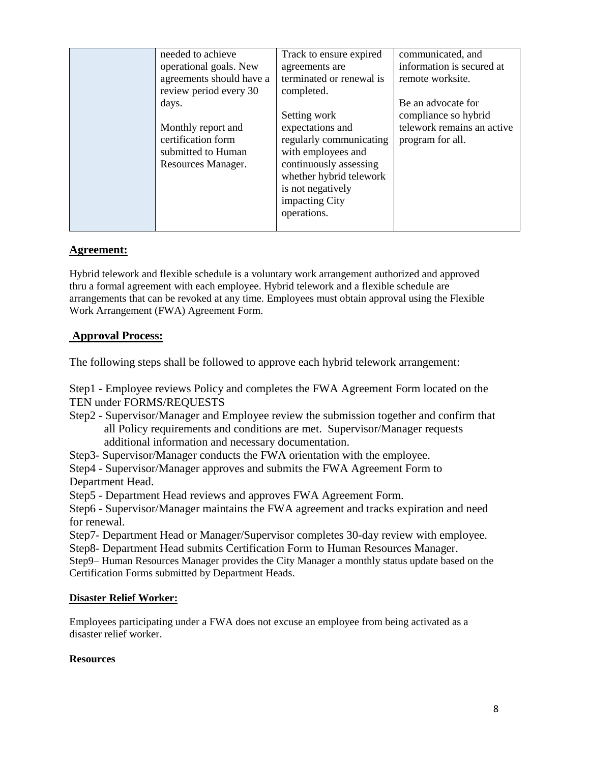| needed to achieve        | Track to ensure expired  | communicated, and          |
|--------------------------|--------------------------|----------------------------|
| operational goals. New   | agreements are           | information is secured at  |
| agreements should have a | terminated or renewal is | remote worksite.           |
| review period every 30   | completed.               |                            |
| days.                    |                          | Be an advocate for         |
|                          | Setting work             | compliance so hybrid       |
| Monthly report and       | expectations and         | telework remains an active |
| certification form       | regularly communicating  | program for all.           |
| submitted to Human       | with employees and       |                            |
| Resources Manager.       | continuously assessing   |                            |
|                          | whether hybrid telework  |                            |
|                          | is not negatively        |                            |
|                          | impacting City           |                            |
|                          | operations.              |                            |
|                          |                          |                            |

## **Agreement:**

Hybrid telework and flexible schedule is a voluntary work arrangement authorized and approved thru a formal agreement with each employee. Hybrid telework and a flexible schedule are arrangements that can be revoked at any time. Employees must obtain approval using the Flexible Work Arrangement (FWA) Agreement Form.

## **Approval Process:**

The following steps shall be followed to approve each hybrid telework arrangement:

Step1 - Employee reviews Policy and completes the FWA Agreement Form located on the TEN under FORMS/REQUESTS

Step2 - Supervisor/Manager and Employee review the submission together and confirm that all Policy requirements and conditions are met. Supervisor/Manager requests additional information and necessary documentation.

Step3- Supervisor/Manager conducts the FWA orientation with the employee.

Step4 - Supervisor/Manager approves and submits the FWA Agreement Form to Department Head.

Step5 - Department Head reviews and approves FWA Agreement Form.

Step6 - Supervisor/Manager maintains the FWA agreement and tracks expiration and need for renewal.

Step7- Department Head or Manager/Supervisor completes 30-day review with employee. Step8- Department Head submits Certification Form to Human Resources Manager.

Step9– Human Resources Manager provides the City Manager a monthly status update based on the Certification Forms submitted by Department Heads.

#### **Disaster Relief Worker:**

Employees participating under a FWA does not excuse an employee from being activated as a disaster relief worker.

#### **Resources**